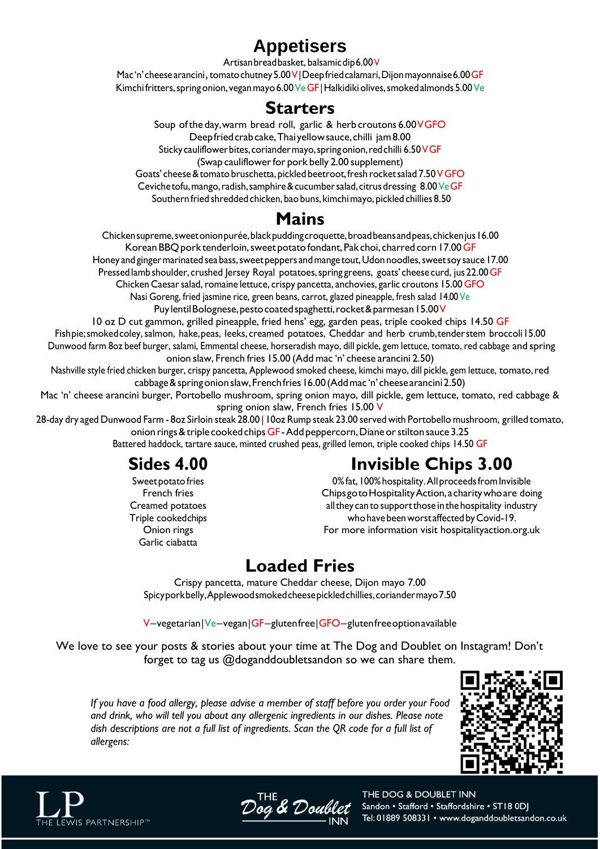# **Appetisers**

Artisanbreadbasket, balsamicdip6.00V

Mac'n' cheese arancini, tomato chutney 5.00 V|Deep fried calamari, Dijon mayonnaise 6.00 GF Kimchi fritters, spring onion, vegan mayo 6.00 Ve GF | Halkidiki olives, smoked almonds 5.00 Ve

### **Starters**

Soup of the day, warm bread roll, garlic & herb croutons 6.00 VGFO Deepfriedcrabcake,Thaiyellowsauce,chilli jam8.00 Sticky cauliflower bites, coriander mayo, spring onion, red chilli 6.50 VGF (Swap cauliflower for pork belly 2.00 supplement) Goats' cheese & tomato bruschetta, pickled beetroot, fresh rocket salad 7.50 VGFO Ceviche tofu, mango, radish, samphire & cucumber salad, citrus dressing 8.00 Ve GF Southern fried shredded chicken, bao buns, kimchi mayo, pickled chillies 8.50

## **Mains**

Chickensupreme,sweetonionpurée,blackpuddingcroquette,broadbeansandpeas,chickenjus16.00 Korean BBQ pork tenderloin, sweet potato fondant, Pak choi, charred corn 17.00 GF Honey and ginger marinated sea bass, sweet peppers and mange tout, Udon noodles, sweet soy sauce 17.00 Pressed lamb shoulder, crushed Jersey Royal potatoes, spring greens, goats' cheese curd, jus 22.00 GF

Chicken Caesar salad, romaine lettuce, crispy pancetta, anchovies, garlic croutons 15.00 GFO Nasi Goreng, fried jasmine rice, green beans, carrot, glazed pineapple, fresh salad 14.00 Ve

Puylentil Bolognese, pesto coated spaghetti, rocket & parmesan 15.00 V

10 oz D cut gammon, grilled pineapple, fried hens' egg, garden peas, triple cooked chips 14.50 GF Fishpie;smokedcoley,salmon, hake,peas, leeks, creamed potatoes, Cheddar and herb crumb,tenderstem broccoli15.00 Dunwood farm 8oz beef burger, salami, Emmental cheese, horseradish mayo, dill pickle, gem lettuce, tomato, red cabbage and spring onion slaw, French fries 15.00 (Add mac 'n' cheese arancini 2.50)

Nashville style fried chicken burger, crispy pancetta, Applewood smoked cheese, kimchi mayo, dill pickle, gem lettuce, tomato,red cabbage&springonionslaw,Frenchfries16.00(Addmac 'n'cheesearancini2.50)

Mac 'n' cheese arancini burger, Portobello mushroom, spring onion mayo, dill pickle, gem lettuce, tomato, red cabbage & spring onion slaw, French fries 15.00 V

28-day dry aged Dunwood Farm - 8oz Sirloin steak 28.00 | 10oz Rump steak 23.00 served with Portobello mushroom, grilledtomato, onion rings & triple cooked chips GF - Add peppercorn, Diane or stilton sauce 3.25 Battered haddock, tartare sauce, minted crushed peas, grilled lemon, triple cooked chips 14.50 GF

# **Sides 4.00**

Sweet potato fries French fries Creamed potatoes Triple cookedchips Onion rings Garlic ciabatta

# **Invisible Chips 3.00**

0% fat, 100% hospitality. All proceeds from Invisible ChipsgotoHospitalityAction,acharitywhoare doing all they can to support those in the hospitality industry who have been worst affected by Covid-19. For more information visit hospitalityaction.org.uk

# **Loaded Fries**

Crispy pancetta, mature Cheddar cheese, Dijon mayo 7.00 Spicyporkbelly,Applewoodsmokedcheesepickledchillies,coriandermayo7.50

V–vegetarian|Ve–vegan|GF–glutenfree|GFO–glutenfreeoptionavailable

We love to see your posts & stories about your time at The Dog and Doublet on Instagram! Don't forget to tag us @doganddoubletsandon so we can share them.

*If you have a food allergy, please advise a member of staff before you order your Food and drink, who will tell you about any allergenic ingredients in our dishes. Please note dish descriptions are not a full list of ingredients. Scan the QR code for a full list of allergens:*





Dog & Doub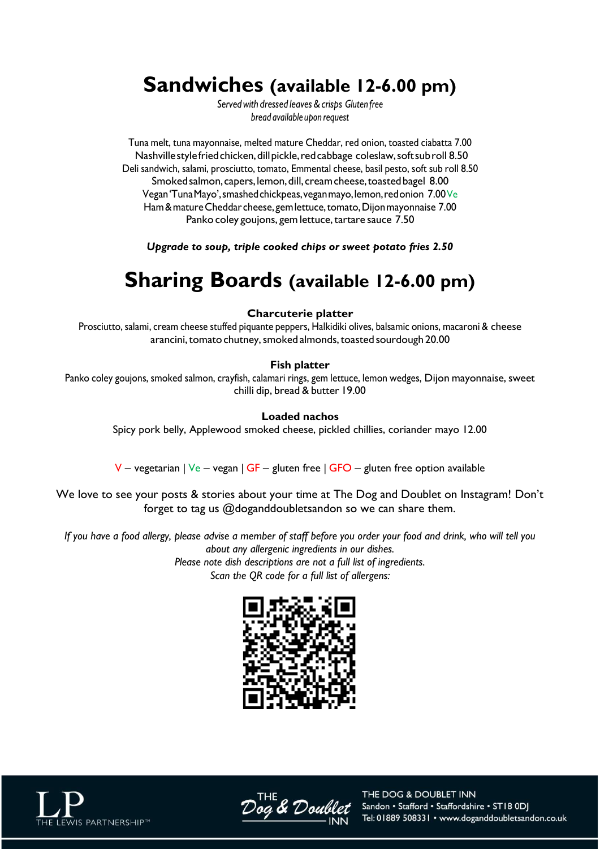# **Sandwiches (available 12-6.00 pm)**

*Servedwith dressed leaves&crisps Gluten free bread available upon request*

Tuna melt, tuna mayonnaise, melted mature Cheddar, red onion, toasted ciabatta 7.00 Nashvillestyle fried chicken, dill pickle, red cabbage coleslaw, soft sub roll 8.50 Deli sandwich, salami, prosciutto, tomato, Emmental cheese, basil pesto, soft sub roll 8.50 Smoked salmon, capers, lemon, dill, cream cheese, toasted bagel 8.00 Vegan'TunaMayo',smashedchickpeas,veganmayo,lemon,redonion 7.00Ve Ham & mature Cheddar cheese, gem lettuce, tomato, Dijon mayonnaise 7.00 Panko coley goujons, gem lettuce, tartare sauce 7.50

*Upgrade to soup, triple cooked chips or sweet potato fries 2.50*

# **Sharing Boards (available 12-6.00 pm)**

#### **Charcuterie platter**

Prosciutto, salami, cream cheese stuffed piquante peppers, Halkidiki olives, balsamic onions, macaroni & cheese arancini, tomato chutney, smoked almonds, toasted sourdough 20.00

#### **Fish platter**

Panko coley goujons, smoked salmon, crayfish, calamari rings, gem lettuce, lemon wedges, Dijon mayonnaise, sweet chilli dip, bread & butter 19.00

#### **Loaded nachos**

Spicy pork belly, Applewood smoked cheese, pickled chillies, coriander mayo 12.00

 $V$  – vegetarian | Ve – vegan | GF – gluten free | GFO – gluten free option available

We love to see your posts & stories about your time at The Dog and Doublet on Instagram! Don't forget to tag us @doganddoubletsandon so we can share them.

*If you have a food allergy, please advise a member of staff before you order your food and drink, who will tell you about any allergenic ingredients in our dishes. Please note dish descriptions are not a full list of ingredients. Scan the QR code for a full list of allergens:*







& Dou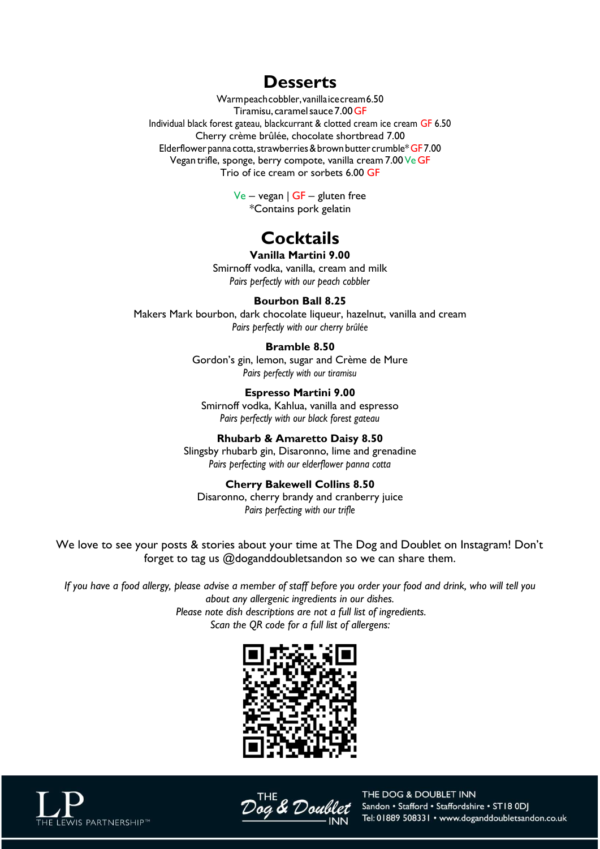### **Desserts**

Warmpeachcobbler,vanillaicecream6.50 Tiramisu, caramelsauce 7.00GF Individual black forest gateau, blackcurrant & clotted cream ice cream GF 6.50 Cherry crème brûlée, chocolate shortbread 7.00 Elderflower panna cotta, strawberries & brown butter crumble\* GF7.00 Vegan trifle, sponge, berry compote, vanilla cream 7.00 Ve GF Trio of ice cream or sorbets 6.00 GF

> $Ve - vegan \n\mid GF - gluten free$ \*Contains pork gelatin

# **Cocktails**

**Vanilla Martini 9.00** Smirnoff vodka, vanilla, cream and milk *Pairs perfectly with our peach cobbler*

#### **Bourbon Ball 8.25**

Makers Mark bourbon, dark chocolate liqueur, hazelnut, vanilla and cream *Pairs perfectly with our cherry brûlée*

#### **Bramble 8.50**

Gordon's gin, lemon, sugar and Crème de Mure *Pairs perfectly with our tiramisu*

**Espresso Martini 9.00** Smirnoff vodka, Kahlua, vanilla and espresso *Pairs perfectly with our black forest gateau*

**Rhubarb & Amaretto Daisy 8.50** Slingsby rhubarb gin, Disaronno, lime and grenadine

*Pairs perfecting with our elderflower panna cotta*

**Cherry Bakewell Collins 8.50** Disaronno, cherry brandy and cranberry juice *Pairs perfecting with our trifle*

We love to see your posts & stories about your time at The Dog and Doublet on Instagram! Don't forget to tag us @doganddoubletsandon so we can share them.

*If you have a food allergy, please advise a member of staff before you order your food and drink, who will tell you about any allergenic ingredients in our dishes. Please note dish descriptions are not a full list of ingredients. Scan the QR code for a full list of allergens:*





& Doc